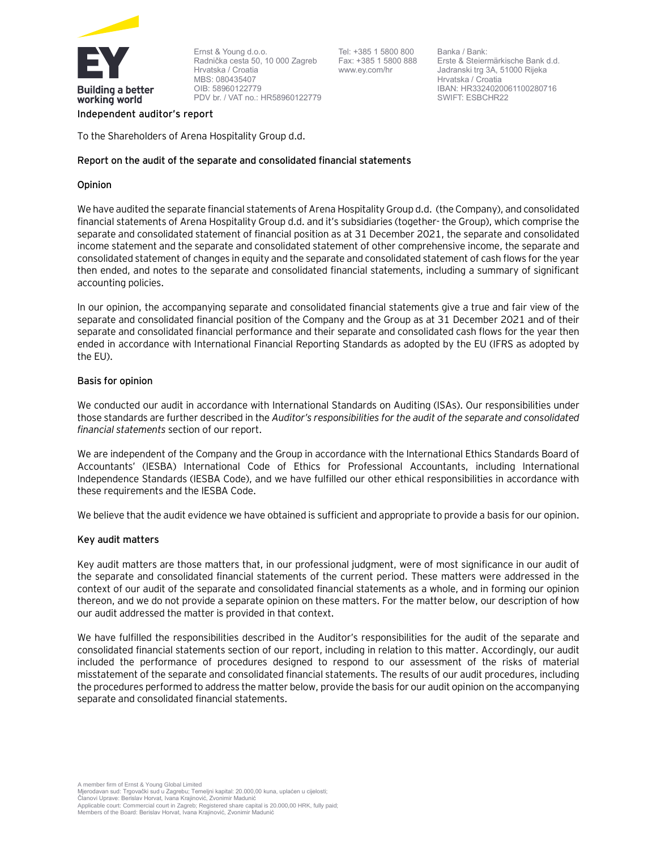

Ernst & Young d.o.o. Radnička cesta 50, 10 000 Zagreb Hrvatska / Croatia MBS: 080435407 OIB: 58960122779 PDV br. / VAT no.: HR58960122779

Tel: +385 1 5800 800 Fax: +385 1 5800 888 www.ey.com/hr

Banka / Bank: Erste & Steiermärkische Bank d.d. Jadranski trg 3A, 51000 Rijeka Hrvatska / Croatia IBAN: HR3324020061100280716 SWIFT: ESBCHR22

#### **Independent auditor's report**

To the Shareholders of Arena Hospitality Group d.d.

# **Report on the audit of the separate and consolidated financial statements**

# **Opinion**

We have audited the separate financial statements of Arena Hospitality Group d.d. (the Company), and consolidated financial statements of Arena Hospitality Group d.d. and it's subsidiaries (together- the Group), which comprise the separate and consolidated statement of financial position as at 31 December 2021, the separate and consolidated income statement and the separate and consolidated statement of other comprehensive income, the separate and consolidated statement of changes in equity and the separate and consolidated statement of cash flows for the year then ended, and notes to the separate and consolidated financial statements, including a summary of significant accounting policies.

In our opinion, the accompanying separate and consolidated financial statements give a true and fair view of the separate and consolidated financial position of the Company and the Group as at 31 December 2021 and of their separate and consolidated financial performance and their separate and consolidated cash flows for the year then ended in accordance with International Financial Reporting Standards as adopted by the EU (IFRS as adopted by the EU).

# **Basis for opinion**

We conducted our audit in accordance with International Standards on Auditing (ISAs). Our responsibilities under those standards are further described in the *Auditor's responsibilities for the audit of the separate and consolidated financial statements* section of our report.

We are independent of the Company and the Group in accordance with the International Ethics Standards Board of Accountants' (IESBA) International Code of Ethics for Professional Accountants, including International Independence Standards (IESBA Code), and we have fulfilled our other ethical responsibilities in accordance with these requirements and the IESBA Code.

We believe that the audit evidence we have obtained is sufficient and appropriate to provide a basis for our opinion.

# **Key audit matters**

Key audit matters are those matters that, in our professional judgment, were of most significance in our audit of the separate and consolidated financial statements of the current period. These matters were addressed in the context of our audit of the separate and consolidated financial statements as a whole, and in forming our opinion thereon, and we do not provide a separate opinion on these matters. For the matter below, our description of how our audit addressed the matter is provided in that context.

We have fulfilled the responsibilities described in the Auditor's responsibilities for the audit of the separate and consolidated financial statements section of our report, including in relation to this matter. Accordingly, our audit included the performance of procedures designed to respond to our assessment of the risks of material misstatement of the separate and consolidated financial statements. The results of our audit procedures, including the procedures performed to address the matter below, provide the basis for our audit opinion on the accompanying separate and consolidated financial statements.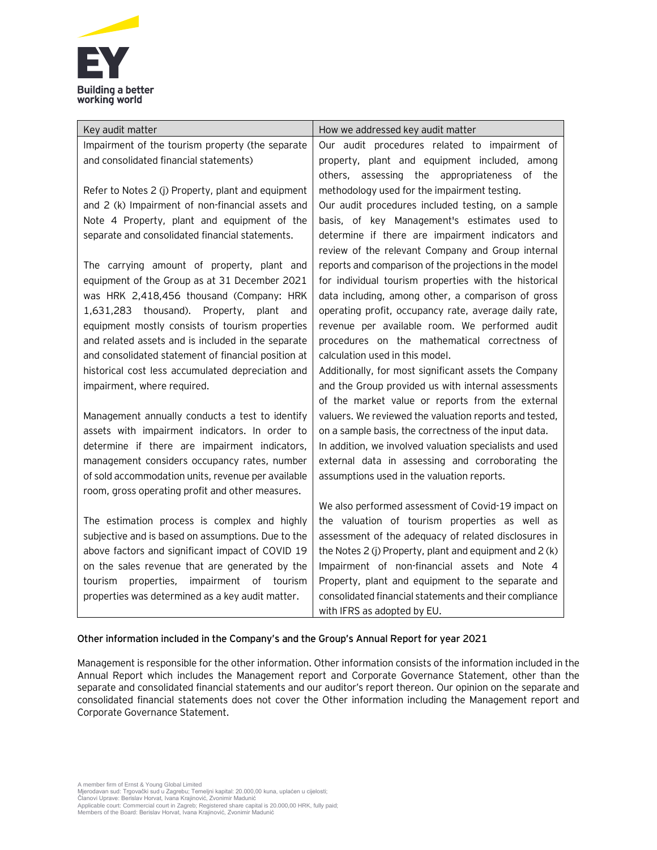

| Key audit matter                                                                                      | How we addressed key audit matter                                                               |
|-------------------------------------------------------------------------------------------------------|-------------------------------------------------------------------------------------------------|
| Impairment of the tourism property (the separate                                                      | Our audit procedures related to impairment of                                                   |
| and consolidated financial statements)                                                                | property, plant and equipment included, among                                                   |
|                                                                                                       | others, assessing the appropriateness of the                                                    |
| Refer to Notes 2 (j) Property, plant and equipment                                                    | methodology used for the impairment testing.                                                    |
| and 2 (k) Impairment of non-financial assets and                                                      | Our audit procedures included testing, on a sample                                              |
| Note 4 Property, plant and equipment of the                                                           | basis, of key Management's estimates used to                                                    |
| separate and consolidated financial statements.                                                       | determine if there are impairment indicators and                                                |
|                                                                                                       | review of the relevant Company and Group internal                                               |
| The carrying amount of property, plant and                                                            | reports and comparison of the projections in the model                                          |
| equipment of the Group as at 31 December 2021                                                         | for individual tourism properties with the historical                                           |
| was HRK 2,418,456 thousand (Company: HRK                                                              | data including, among other, a comparison of gross                                              |
| 1,631,283 thousand). Property, plant<br>and                                                           | operating profit, occupancy rate, average daily rate,                                           |
| equipment mostly consists of tourism properties<br>and related assets and is included in the separate | revenue per available room. We performed audit<br>procedures on the mathematical correctness of |
| and consolidated statement of financial position at                                                   | calculation used in this model.                                                                 |
| historical cost less accumulated depreciation and                                                     | Additionally, for most significant assets the Company                                           |
| impairment, where required.                                                                           | and the Group provided us with internal assessments                                             |
|                                                                                                       | of the market value or reports from the external                                                |
| Management annually conducts a test to identify                                                       | valuers. We reviewed the valuation reports and tested,                                          |
| assets with impairment indicators. In order to                                                        | on a sample basis, the correctness of the input data.                                           |
| determine if there are impairment indicators,                                                         | In addition, we involved valuation specialists and used                                         |
| management considers occupancy rates, number                                                          | external data in assessing and corroborating the                                                |
| of sold accommodation units, revenue per available                                                    | assumptions used in the valuation reports.                                                      |
| room, gross operating profit and other measures.                                                      |                                                                                                 |
|                                                                                                       | We also performed assessment of Covid-19 impact on                                              |
| The estimation process is complex and highly                                                          | the valuation of tourism properties as well as                                                  |
| subjective and is based on assumptions. Due to the                                                    | assessment of the adequacy of related disclosures in                                            |
| above factors and significant impact of COVID 19                                                      | the Notes 2 (j) Property, plant and equipment and 2 (k)                                         |
| on the sales revenue that are generated by the                                                        | Impairment of non-financial assets and Note 4                                                   |
| tourism<br>properties, impairment<br>of<br>tourism                                                    | Property, plant and equipment to the separate and                                               |
| properties was determined as a key audit matter.                                                      | consolidated financial statements and their compliance                                          |
|                                                                                                       | with IFRS as adopted by EU.                                                                     |

# **Other information included in the Company's and the Group's Annual Report for year 2021**

Management is responsible for the other information. Other information consists of the information included in the Annual Report which includes the Management report and Corporate Governance Statement, other than the separate and consolidated financial statements and our auditor's report thereon. Our opinion on the separate and consolidated financial statements does not cover the Other information including the Management report and Corporate Governance Statement.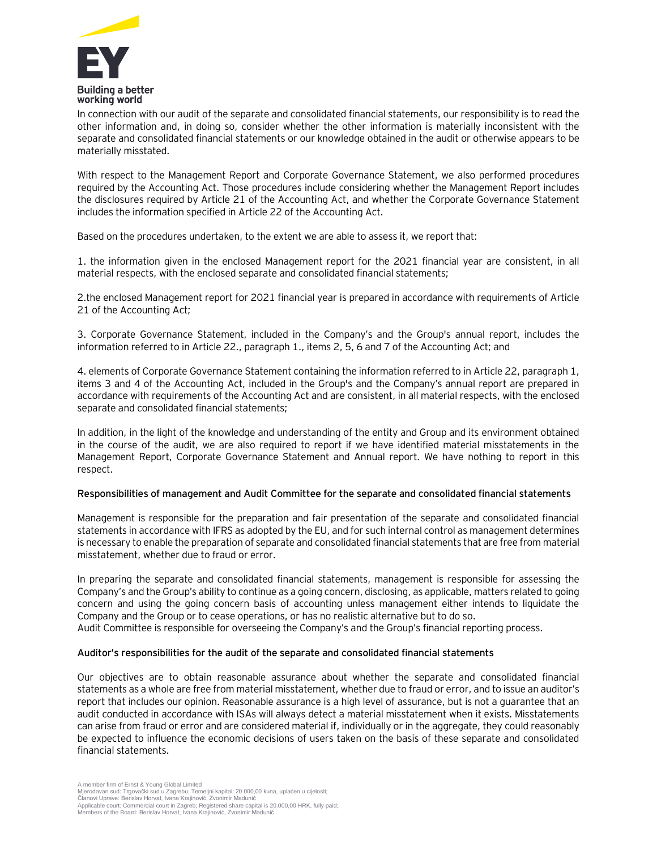

In connection with our audit of the separate and consolidated financial statements, our responsibility is to read the other information and, in doing so, consider whether the other information is materially inconsistent with the separate and consolidated financial statements or our knowledge obtained in the audit or otherwise appears to be materially misstated.

With respect to the Management Report and Corporate Governance Statement, we also performed procedures required by the Accounting Act. Those procedures include considering whether the Management Report includes the disclosures required by Article 21 of the Accounting Act, and whether the Corporate Governance Statement includes the information specified in Article 22 of the Accounting Act.

Based on the procedures undertaken, to the extent we are able to assess it, we report that:

1. the information given in the enclosed Management report for the 2021 financial year are consistent, in all material respects, with the enclosed separate and consolidated financial statements;

2.the enclosed Management report for 2021 financial year is prepared in accordance with requirements of Article 21 of the Accounting Act;

3. Corporate Governance Statement, included in the Company's and the Group's annual report, includes the information referred to in Article 22., paragraph 1., items 2, 5, 6 and 7 of the Accounting Act; and

4. elements of Corporate Governance Statement containing the information referred to in Article 22, paragraph 1, items 3 and 4 of the Accounting Act, included in the Group's and the Company's annual report are prepared in accordance with requirements of the Accounting Act and are consistent, in all material respects, with the enclosed separate and consolidated financial statements;

In addition, in the light of the knowledge and understanding of the entity and Group and its environment obtained in the course of the audit, we are also required to report if we have identified material misstatements in the Management Report, Corporate Governance Statement and Annual report. We have nothing to report in this respect.

#### **Responsibilities of management and Audit Committee for the separate and consolidated financial statements**

Management is responsible for the preparation and fair presentation of the separate and consolidated financial statements in accordance with IFRS as adopted by the EU, and for such internal control as management determines is necessary to enable the preparation of separate and consolidated financial statements that are free from material misstatement, whether due to fraud or error.

In preparing the separate and consolidated financial statements, management is responsible for assessing the Company's and the Group's ability to continue as a going concern, disclosing, as applicable, matters related to going concern and using the going concern basis of accounting unless management either intends to liquidate the Company and the Group or to cease operations, or has no realistic alternative but to do so.

Audit Committee is responsible for overseeing the Company's and the Group's financial reporting process.

#### **Auditor's responsibilities for the audit of the separate and consolidated financial statements**

Our objectives are to obtain reasonable assurance about whether the separate and consolidated financial statements as a whole are free from material misstatement, whether due to fraud or error, and to issue an auditor's report that includes our opinion. Reasonable assurance is a high level of assurance, but is not a guarantee that an audit conducted in accordance with ISAs will always detect a material misstatement when it exists. Misstatements can arise from fraud or error and are considered material if, individually or in the aggregate, they could reasonably be expected to influence the economic decisions of users taken on the basis of these separate and consolidated financial statements.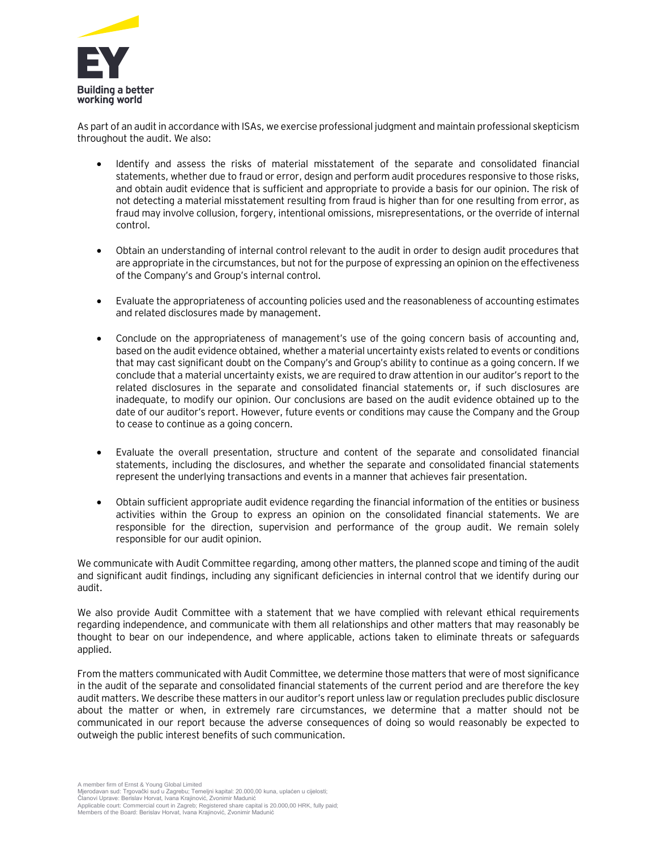

As part of an audit in accordance with ISAs, we exercise professional judgment and maintain professional skepticism throughout the audit. We also:

- Identify and assess the risks of material misstatement of the separate and consolidated financial statements, whether due to fraud or error, design and perform audit procedures responsive to those risks, and obtain audit evidence that is sufficient and appropriate to provide a basis for our opinion. The risk of not detecting a material misstatement resulting from fraud is higher than for one resulting from error, as fraud may involve collusion, forgery, intentional omissions, misrepresentations, or the override of internal control.
- Obtain an understanding of internal control relevant to the audit in order to design audit procedures that are appropriate in the circumstances, but not for the purpose of expressing an opinion on the effectiveness of the Company's and Group's internal control.
- Evaluate the appropriateness of accounting policies used and the reasonableness of accounting estimates and related disclosures made by management.
- Conclude on the appropriateness of management's use of the going concern basis of accounting and, based on the audit evidence obtained, whether a material uncertainty exists related to events or conditions that may cast significant doubt on the Company's and Group's ability to continue as a going concern. If we conclude that a material uncertainty exists, we are required to draw attention in our auditor's report to the related disclosures in the separate and consolidated financial statements or, if such disclosures are inadequate, to modify our opinion. Our conclusions are based on the audit evidence obtained up to the date of our auditor's report. However, future events or conditions may cause the Company and the Group to cease to continue as a going concern.
- Evaluate the overall presentation, structure and content of the separate and consolidated financial statements, including the disclosures, and whether the separate and consolidated financial statements represent the underlying transactions and events in a manner that achieves fair presentation.
- Obtain sufficient appropriate audit evidence regarding the financial information of the entities or business activities within the Group to express an opinion on the consolidated financial statements. We are responsible for the direction, supervision and performance of the group audit. We remain solely responsible for our audit opinion.

We communicate with Audit Committee regarding, among other matters, the planned scope and timing of the audit and significant audit findings, including any significant deficiencies in internal control that we identify during our audit.

We also provide Audit Committee with a statement that we have complied with relevant ethical requirements regarding independence, and communicate with them all relationships and other matters that may reasonably be thought to bear on our independence, and where applicable, actions taken to eliminate threats or safeguards applied.

From the matters communicated with Audit Committee, we determine those matters that were of most significance in the audit of the separate and consolidated financial statements of the current period and are therefore the key audit matters. We describe these matters in our auditor's report unless law or regulation precludes public disclosure about the matter or when, in extremely rare circumstances, we determine that a matter should not be communicated in our report because the adverse consequences of doing so would reasonably be expected to outweigh the public interest benefits of such communication.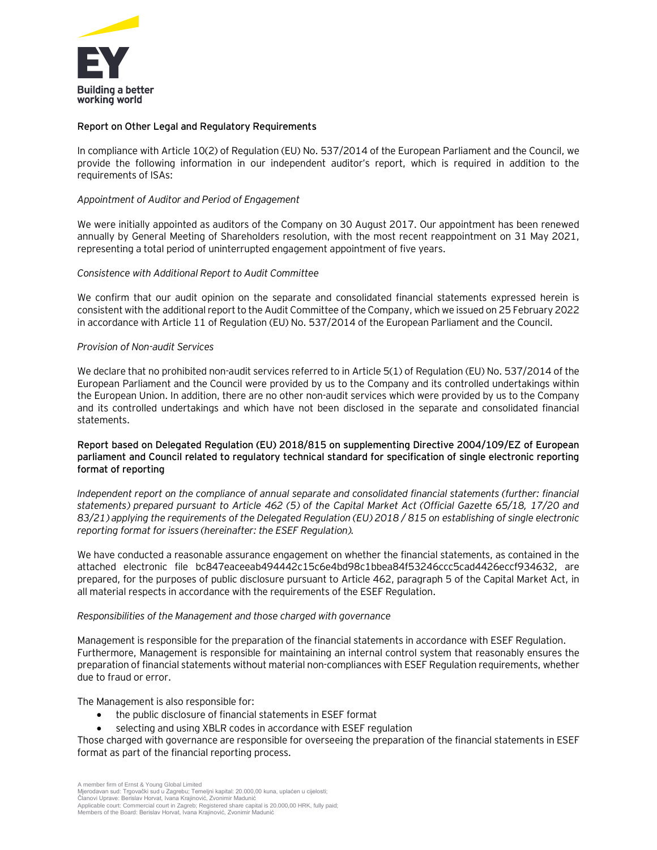

## **Report on Other Legal and Regulatory Requirements**

In compliance with Article 10(2) of Regulation (EU) No. 537/2014 of the European Parliament and the Council, we provide the following information in our independent auditor's report, which is required in addition to the requirements of ISAs:

## *Appointment of Auditor and Period of Engagement*

We were initially appointed as auditors of the Company on 30 August 2017. Our appointment has been renewed annually by General Meeting of Shareholders resolution, with the most recent reappointment on 31 May 2021, representing a total period of uninterrupted engagement appointment of five years.

#### *Consistence with Additional Report to Audit Committee*

We confirm that our audit opinion on the separate and consolidated financial statements expressed herein is consistent with the additional report to the Audit Committee of the Company, which we issued on 25 February 2022 in accordance with Article 11 of Regulation (EU) No. 537/2014 of the European Parliament and the Council.

# *Provision of Non-audit Services*

We declare that no prohibited non-audit services referred to in Article 5(1) of Regulation (EU) No. 537/2014 of the European Parliament and the Council were provided by us to the Company and its controlled undertakings within the European Union. In addition, there are no other non-audit services which were provided by us to the Company and its controlled undertakings and which have not been disclosed in the separate and consolidated financial statements.

# **Report based on Delegated Regulation (EU) 2018/815 on supplementing Directive 2004/109/EZ of European parliament and Council related to regulatory technical standard for specification of single electronic reporting format of reporting**

*Independent report on the compliance of annual separate and consolidated financial statements (further: financial statements) prepared pursuant to Article 462 (5) of the Capital Market Act (Official Gazette 65/18, 17/20 and 83/21) applying the requirements of the Delegated Regulation (EU) 2018 / 815 on establishing of single electronic reporting format for issuers (hereinafter: the ESEF Regulation).*

We have conducted a reasonable assurance engagement on whether the financial statements, as contained in the attached electronic file bc847eaceeab494442c15c6e4bd98c1bbea84f53246ccc5cad4426eccf934632, are prepared, for the purposes of public disclosure pursuant to Article 462, paragraph 5 of the Capital Market Act, in all material respects in accordance with the requirements of the ESEF Regulation.

#### *Responsibilities of the Management and those charged with governance*

Management is responsible for the preparation of the financial statements in accordance with ESEF Regulation. Furthermore, Management is responsible for maintaining an internal control system that reasonably ensures the preparation of financial statements without material non-compliances with ESEF Regulation requirements, whether due to fraud or error.

The Management is also responsible for:

- the public disclosure of financial statements in ESEF format
- selecting and using XBLR codes in accordance with ESEF regulation

Those charged with governance are responsible for overseeing the preparation of the financial statements in ESEF format as part of the financial reporting process.